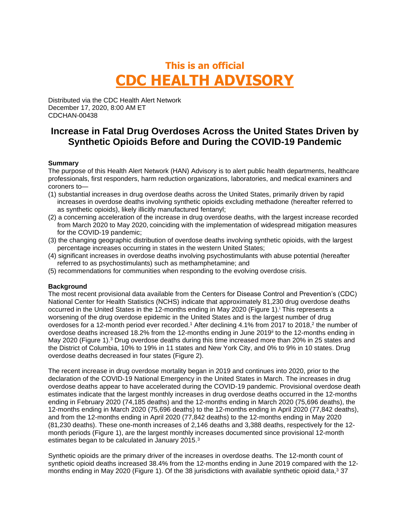# **This is an official CDC HEALTH ADVISORY**

Distributed via the CDC Health Alert Network December 17, 2020, 8:00 AM ET CDCHAN-00438

## **Increase in Fatal Drug Overdoses Across the United States Driven by Synthetic Opioids Before and During the COVID-19 Pandemic**

#### **Summary**

The purpose of this Health Alert Network (HAN) Advisory is to alert public health departments, healthcare professionals, first responders, harm reduction organizations, laboratories, and medical examiners and coroners to—

- (1) substantial increases in drug overdose deaths across the United States, primarily driven by rapid increases in overdose deaths involving synthetic opioids excluding methadone (hereafter referred to as synthetic opioids), likely illicitly manufactured fentanyl;
- (2) a concerning acceleration of the increase in drug overdose deaths, with the largest increase recorded from March 2020 to May 2020, coinciding with the implementation of widespread mitigation measures for the COVID-19 pandemic;
- (3) the changing geographic distribution of overdose deaths involving synthetic opioids, with the largest percentage increases occurring in states in the western United States;
- (4) significant increases in overdose deaths involving psychostimulants with abuse potential (hereafter referred to as psychostimulants) such as methamphetamine; and
- (5) recommendations for communities when responding to the evolving overdose crisis.

### **Background**

The most recent provisional data available from the Centers for Disease Control and Prevention's (CDC) National Center for Health Statistics (NCHS) indicate that approximately 81,230 drug overdose deaths occurred in the United States in the 12-months ending in May 2020 (Figure 1). <sup>i</sup> This represents a worsening of the drug overdose epidemic in the United States and is the largest number of drug overdoses for a 12-month period ever recorded.<sup>1</sup> After declining 4.1% from 2017 to 2018,<sup>2</sup> the number of overdose deaths increased 18.2% from the 12-months ending in June 2019<sup>i</sup> to the 12-months ending in May 2020 (Figure 1).<sup>3</sup> Drug overdose deaths during this time increased more than 20% in 25 states and the District of Columbia, 10% to 19% in 11 states and New York City, and 0% to 9% in 10 states. Drug overdose deaths decreased in four states (Figure 2).

The recent increase in drug overdose mortality began in 2019 and continues into 2020, prior to the declaration of the COVID-19 National Emergency in the United States in March. The increases in drug overdose deaths appear to have accelerated during the COVID-19 pandemic. Provisional overdose death estimates indicate that the largest monthly increases in drug overdose deaths occurred in the 12-months ending in February 2020 (74,185 deaths) and the 12-months ending in March 2020 (75,696 deaths), the 12-months ending in March 2020 (75,696 deaths) to the 12-months ending in April 2020 (77,842 deaths), and from the 12-months ending in April 2020 (77,842 deaths) to the 12-months ending in May 2020 (81,230 deaths). These one-month increases of 2,146 deaths and 3,388 deaths, respectively for the 12 month periods (Figure 1), are the largest monthly increases documented since provisional 12-month estimates began to be calculated in January 2015.<sup>3</sup>

Synthetic opioids are the primary driver of the increases in overdose deaths. The 12-month count of synthetic opioid deaths increased 38.4% from the 12-months ending in June 2019 compared with the 12 months ending in May 2020 (Figure 1). Of the 38 jurisdictions with available synthetic opioid data,<sup>3</sup> 37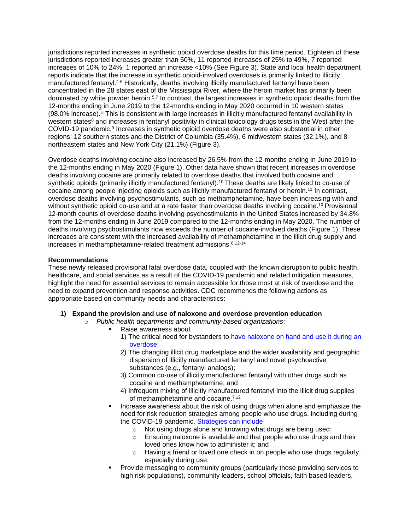jurisdictions reported increases in synthetic opioid overdose deaths for this time period. Eighteen of these jurisdictions reported increases greater than 50%, 11 reported increases of 25% to 49%, 7 reported increases of 10% to 24%, 1 reported an increase <10% (See Figure 3). State and local health department reports indicate that the increase in synthetic opioid-involved overdoses is primarily linked to illicitly manufactured fentanyl.<sup>4-6</sup> Historically, deaths involving illicitly manufactured fentanyl have been concentrated in the 28 states east of the Mississippi River, where the heroin market has primarily been dominated by white powder heroin.<sup>5,7</sup> In contrast, the largest increases in synthetic opioid deaths from the 12-months ending in June 2019 to the 12-months ending in May 2020 occurred in 10 western states (98.0% increase).<sup>iii</sup> This is consistent with large increases in illicitly manufactured fentanyl availability in western states<sup>8</sup> and increases in fentanyl positivity in clinical toxicology drugs tests in the West after the COVID-19 pandemic.<sup>9</sup> Increases in synthetic opioid overdose deaths were also substantial in other regions: 12 southern states and the District of Columbia (35.4%), 6 midwestern states (32.1%), and 8 northeastern states and New York City (21.1%) (Figure 3).

Overdose deaths involving cocaine also increased by 26.5% from the 12-months ending in June 2019 to the 12-months ending in May 2020 (Figure 1). Other data have shown that recent increases in overdose deaths involving cocaine are primarily related to overdose deaths that involved both cocaine and synthetic opioids (primarily illicitly manufactured fentanyl). <sup>10</sup> These deaths are likely linked to co-use of cocaine among people injecting opioids such as illicitly manufactured fentanyl or heroin. 11 In contrast, overdose deaths involving psychostimulants, such as methamphetamine, have been increasing with and without synthetic opioid co-use and at a rate faster than overdose deaths involving cocaine.<sup>10</sup> Provisional 12-month counts of overdose deaths involving psychostimulants in the United States increased by 34.8% from the 12-months ending in June 2019 compared to the 12-months ending in May 2020. The number of deaths involving psychostimulants now exceeds the number of cocaine-involved deaths (Figure 1). These increases are consistent with the increased availability of methamphetamine in the illicit drug supply and increases in methamphetamine-related treatment admissions.8,12-14

#### **Recommendations**

These newly released provisional fatal overdose data, coupled with the known disruption to public health, healthcare, and social services as a result of the COVID-19 pandemic and related mitigation measures, highlight the need for essential services to remain accessible for those most at risk of overdose and the need to expand prevention and response activities. CDC recommends the following actions as appropriate based on community needs and characteristics:

- **1) Expand the provision and use of naloxone and overdose prevention education**
	- o *Public health departments and community-based organizations*:
		- Raise awareness about
			- 1) The critical need for bystanders to have naloxone on hand and use it during an overdose;
			- 2) The changing illicit drug marketplace and the wider availability and geographic dispersion of illicitly manufactured fentanyl and novel psychoactive substances (e.g., fentanyl analogs);
			- 3) Common co-use of illicitly manufactured fentanyl with other drugs such as cocaine and methamphetamine; and
			- 4) Infrequent mixing of illicitly manufactured fentanyl into the illicit drug supplies of methamphetamine and cocaine.<sup>7,12</sup>
		- Increase awareness about the risk of using drugs when alone and emphasize the need for risk reduction strategies among people who use drugs, including during the COVID-19 pandemic. Strategies can include
			- o Not using drugs alone and knowing what drugs are being used;
			- o Ensuring naloxone is available and that people who use drugs and their loved ones know how to administer it; and
			- o Having a friend or loved one check in on people who use drugs regularly, especially during use.
		- Provide messaging to community groups (particularly those providing services to high risk populations), community leaders, school officials, faith based leaders,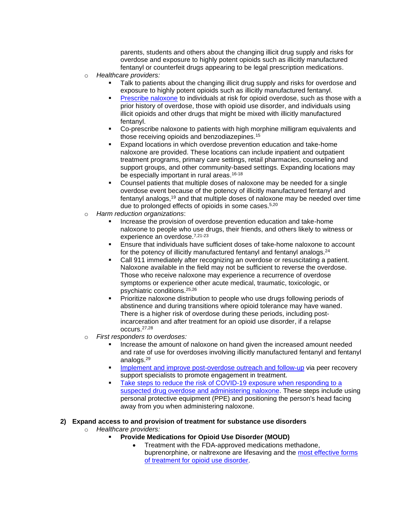parents, students and others about the changing illicit drug supply and risks for overdose and exposure to highly potent opioids such as illicitly manufactured fentanyl or counterfeit drugs appearing to be legal prescription medications.

- o *Healthcare providers:*
	- Talk to patients about the changing illicit drug supply and risks for overdose and exposure to highly potent opioids such as illicitly manufactured fentanyl.
	- Prescribe naloxone to individuals at risk for opioid overdose, such as those with a prior history of overdose, those with opioid use disorder, and individuals using illicit opioids and other drugs that might be mixed with illicitly manufactured fentanyl.
	- Co-prescribe naloxone to patients with high morphine milligram equivalents and those receiving opioids and benzodiazepines.<sup>15</sup>
	- Expand locations in which overdose prevention education and take-home naloxone are provided. These locations can include inpatient and outpatient treatment programs, primary care settings, retail pharmacies, counseling and support groups, and other community-based settings. Expanding locations may be especially important in rural areas.<sup>16-18</sup>
	- Counsel patients that multiple doses of naloxone may be needed for a single overdose event because of the potency of illicitly manufactured fentanyl and fentanyl analogs,<sup>19</sup> and that multiple doses of naloxone may be needed over time due to prolonged effects of opioids in some cases. 5,20
- o *Harm reduction organizations*:
	- Increase the provision of overdose prevention education and take-home naloxone to people who use drugs, their friends, and others likely to witness or experience an overdose.<sup>7,21-23</sup>
	- Ensure that individuals have sufficient doses of take-home naloxone to account for the potency of illicitly manufactured fentanyl and fentanyl analogs.<sup>24</sup>
	- Call 911 immediately after recognizing an overdose or resuscitating a patient. Naloxone available in the field may not be sufficient to reverse the overdose. Those who receive naloxone may experience a recurrence of overdose symptoms or experience other acute medical, traumatic, toxicologic, or psychiatric conditions. 25,26
	- Prioritize naloxone distribution to people who use drugs following periods of abstinence and during transitions where opioid tolerance may have waned. There is a higher risk of overdose during these periods, including postincarceration and after treatment for an opioid use disorder, if a relapse occurs.27,28
- o *First responders to overdoses:*
	- Increase the amount of naloxone on hand given the increased amount needed and rate of use for overdoses involving illicitly manufactured fentanyl and fentanyl analogs.<sup>29</sup>
	- Implement and improve post-overdose outreach and follow-up via peer recovery support specialists to promote engagement in treatment.
	- Take steps to reduce the risk of COVID-19 exposure when responding to a suspected drug overdose and administering naloxone. These steps include using personal protective equipment (PPE) and positioning the person's head facing away from you when administering naloxone.

#### **2) Expand access to and provision of treatment for substance use disorders**

- o *Healthcare providers:*
	- **Provide Medications for Opioid Use Disorder (MOUD)**
		- Treatment with the FDA-approved medications methadone, buprenorphine, or naltrexone are lifesaving and the most effective forms of treatment for opioid use disorder.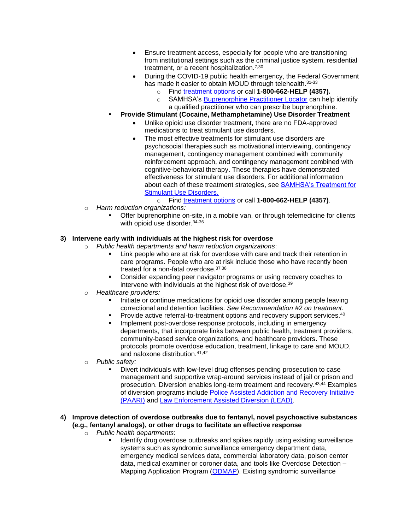- Ensure treatment access, especially for people who are transitioning from institutional settings such as the criminal justice system, residential treatment, or a recent hospitalization.<sup>7,30</sup>
- During the COVID-19 public health emergency, the Federal Government has made it easier to obtain MOUD through telehealth.<sup>31-33</sup>
	- o Find treatment options or call **1-800-662-HELP (4357).**
	- o SAMHSA's Buprenorphine Practitioner Locator can help identify a qualified practitioner who can prescribe buprenorphine.
- **Provide Stimulant (Cocaine, Methamphetamine) Use Disorder Treatment**
	- Unlike opioid use disorder treatment, there are no FDA-approved medications to treat stimulant use disorders.
	- The most effective treatments for stimulant use disorders are psychosocial therapies such as motivational interviewing, contingency management, contingency management combined with community reinforcement approach, and contingency management combined with cognitive-behavioral therapy. These therapies have demonstrated effectiveness for stimulant use disorders. For additional information about each of these treatment strategies, see SAMHSA's Treatment for Stimulant Use Disorders.
		- o Find treatment options or call **1-800-662-HELP (4357)**.
- o *Harm reduction organizations:*
	- Offer buprenorphine on-site, in a mobile van, or through telemedicine for clients with opioid use disorder. 34-36

#### **3) Intervene early with individuals at the highest risk for overdose**

- o *Public health departments and harm reduction organizations*:
	- Link people who are at risk for overdose with care and track their retention in care programs. People who are at risk include those who have recently been treated for a non-fatal overdose.<sup>37,38</sup>
	- Consider expanding peer navigator programs or using recovery coaches to intervene with individuals at the highest risk of overdose.<sup>39</sup>
- o *Healthcare providers:*
	- Initiate or continue medications for opioid use disorder among people leaving correctional and detention facilities. *See Recommendation #2 on treatment.*
	- Provide active referral-to-treatment options and recovery support services.<sup>40</sup>
	- Implement post-overdose response protocols, including in emergency departments, that incorporate links between public health, treatment providers, community-based service organizations, and healthcare providers. These protocols promote overdose education, treatment, linkage to care and MOUD, and naloxone distribution. 41,42
- o *Public safety:*
	- Divert individuals with low-level drug offenses pending prosecution to case management and supportive wrap-around services instead of jail or prison and prosecution. Diversion enables long-term treatment and recovery.43,44 Examples of diversion programs include Police Assisted Addiction and Recovery Initiative (PAARI) and Law Enforcement Assisted Diversion (LEAD).

#### **4) Improve detection of overdose outbreaks due to fentanyl, novel psychoactive substances (e.g., fentanyl analogs), or other drugs to facilitate an effective response**

- o *Public health departments*:
	- Identify drug overdose outbreaks and spikes rapidly using existing surveillance systems such as syndromic surveillance emergency department data, emergency medical services data, commercial laboratory data, poison center data, medical examiner or coroner data, and tools like Overdose Detection – Mapping Application Program (ODMAP). Existing syndromic surveillance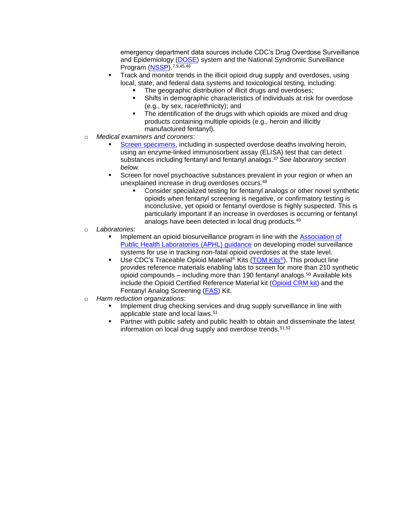emergency department data sources include CDC's Drug Overdose Surveillance and Epidemiology (DOSE) system and the National Syndromic Surveillance Program (NSSP) 7,9,45,46

- Track and monitor trends in the illicit opioid drug supply and overdoses, using local, state, and federal data systems and toxicological testing, including:
	- The geographic distribution of illicit drugs and overdoses;
	- Shifts in demographic characteristics of individuals at risk for overdose (e.g., by sex, race/ethnicity); and
	- **•** The identification of the drugs with which opioids are mixed and drug products containing multiple opioids (e.g., heroin and illicitly manufactured fentanyl).
- o *Medical examiners and coroners*:
	- Screen specimens, including in suspected overdose deaths involving heroin, using an enzyme-linked immunosorbent assay (ELISA) test that can detect substances including fentanyl and fentanyl analogs. <sup>47</sup> *See laboratory section below.*
	- Screen for novel psychoactive substances prevalent in your region or when an unexplained increase in drug overdoses occurs.<sup>48</sup>
		- Consider specialized testing for fentanyl analogs or other novel synthetic opioids when fentanyl screening is negative, or confirmatory testing is inconclusive, yet opioid or fentanyl overdose is highly suspected. This is particularly important if an increase in overdoses is occurring or fentanyl analogs have been detected in local drug products.<sup>49</sup>
- o *Laboratories:*
	- Implement an opioid biosurveillance program in line with the Association of Public Health Laboratories (APHL) guidance on developing model surveillance systems for use in tracking non-fatal opioid overdoses at the state level.
	- Use CDC's Traceable Opioid Material<sup>®</sup> Kits (TOM Kits<sup>®</sup>). This product line provides reference materials enabling labs to screen for more than 210 synthetic opioid compounds – including more than 190 fentanyl analogs.<sup>50</sup> Available kits include the Opioid Certified Reference Material kit (Opioid CRM kit) and the Fentanyl Analog Screening (FAS) Kit.
- o *Harm reduction organizations:*
	- Implement drug checking services and drug supply surveillance in line with applicable state and local laws. 51
	- Partner with public safety and public health to obtain and disseminate the latest information on local drug supply and overdose trends. 51,52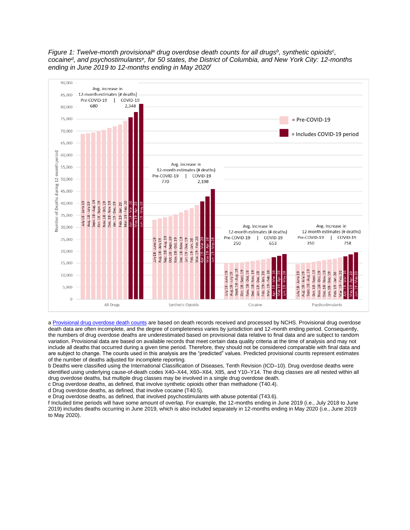

*Figure 1: Twelve-month provisional<sup>a</sup> drug overdose death counts for all drugs<sup>b</sup> , synthetic opioids<sup>c</sup> , cocaine<sup>d</sup> , and psychostimulants<sup>e</sup> , for 50 states, the District of Columbia, and New York City: 12-months ending in June 2019 to 12-months ending in May 2020<sup>f</sup>*

a Provisional drug overdose death counts are based on death records received and processed by NCHS. Provisional drug overdose death data are often incomplete, and the degree of completeness varies by jurisdiction and 12-month ending period. Consequently, the numbers of drug overdose deaths are underestimated based on provisional data relative to final data and are subject to random variation. Provisional data are based on available records that meet certain data quality criteria at the time of analysis and may not include all deaths that occurred during a given time period. Therefore, they should not be considered comparable with final data and are subject to change. The counts used in this analysis are the "predicted" values. Predicted provisional counts represent estimates of the number of deaths adjusted for incomplete reporting.

b Deaths were classified using the International Classification of Diseases, Tenth Revision (ICD–10). Drug overdose deaths were identified using underlying cause-of-death codes X40–X44, X60–X64, X85, and Y10–Y14. The drug classes are all nested within all drug overdose deaths, but multiple drug classes may be involved in a single drug overdose death. c Drug overdose deaths, as defined, that involve synthetic opioids other than methadone (T40.4).

d Drug overdose deaths, as defined, that involve cocaine (T40.5).

e Drug overdose deaths, as defined, that involved psychostimulants with abuse potential (T43.6).

f Included time periods will have some amount of overlap. For example, the 12-months ending in June 2019 (i.e., July 2018 to June 2019) includes deaths occurring in June 2019, which is also included separately in 12-months ending in May 2020 (i.e., June 2019 to May 2020).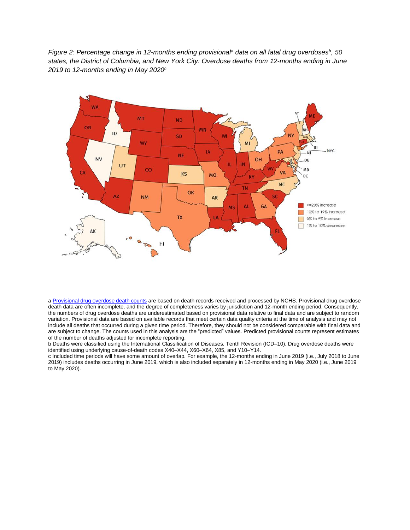*Figure 2: Percentage change in 12-months ending provisional<sup>a</sup> data on all fatal drug overdoses<sup>b</sup> , 50 states, the District of Columbia, and New York City: Overdose deaths from 12-months ending in June 2019 to 12-months ending in May 2020<sup>c</sup>*



a Provisional drug overdose death counts are based on death records received and processed by NCHS. Provisional drug overdose death data are often incomplete, and the degree of completeness varies by jurisdiction and 12-month ending period. Consequently, the numbers of drug overdose deaths are underestimated based on provisional data relative to final data and are subject to random variation. Provisional data are based on available records that meet certain data quality criteria at the time of analysis and may not include all deaths that occurred during a given time period. Therefore, they should not be considered comparable with final data and are subject to change. The counts used in this analysis are the "predicted" values. Predicted provisional counts represent estimates of the number of deaths adjusted for incomplete reporting.

b Deaths were classified using the International Classification of Diseases, Tenth Revision (ICD–10). Drug overdose deaths were identified using underlying cause-of-death codes X40–X44, X60–X64, X85, and Y10–Y14.

c Included time periods will have some amount of overlap. For example, the 12-months ending in June 2019 (i.e., July 2018 to June 2019) includes deaths occurring in June 2019, which is also included separately in 12-months ending in May 2020 (i.e., June 2019 to May 2020).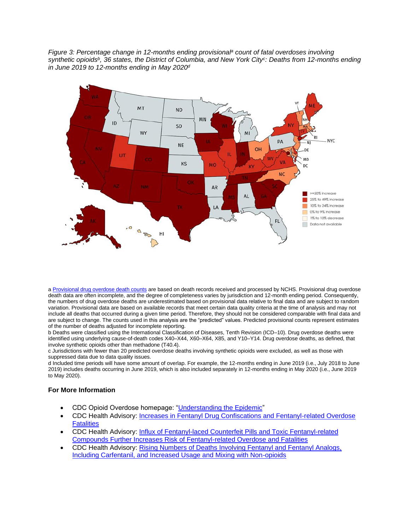*Figure 3: Percentage change in 12-months ending provisional<sup>a</sup> count of fatal overdoses involving synthetic opioids<sup>b</sup> , 36 states, the District of Columbia, and New York City<sup>c</sup> : Deaths from 12-months ending in June 2019 to 12-months ending in May 2020<sup>d</sup>*



a Provisional drug overdose death counts are based on death records received and processed by NCHS. Provisional drug overdose death data are often incomplete, and the degree of completeness varies by jurisdiction and 12-month ending period. Consequently, the numbers of drug overdose deaths are underestimated based on provisional data relative to final data and are subject to random variation. Provisional data are based on available records that meet certain data quality criteria at the time of analysis and may not include all deaths that occurred during a given time period. Therefore, they should not be considered comparable with final data and are subject to change. The counts used in this analysis are the "predicted" values. Predicted provisional counts represent estimates of the number of deaths adjusted for incomplete reporting.

b Deaths were classified using the International Classification of Diseases, Tenth Revision (ICD–10). Drug overdose deaths were identified using underlying cause-of-death codes X40–X44, X60–X64, X85, and Y10–Y14. Drug overdose deaths, as defined, that involve synthetic opioids other than methadone (T40.4).

c Jurisdictions with fewer than 20 predicted overdose deaths involving synthetic opioids were excluded, as well as those with suppressed data due to data quality issues.

d Included time periods will have some amount of overlap. For example, the 12-months ending in June 2019 (i.e., July 2018 to June 2019) includes deaths occurring in June 2019, which is also included separately in 12-months ending in May 2020 (i.e., June 2019 to May 2020).

#### **For More Information**

- CDC Opioid Overdose homepage: "Understanding the Epidemic"
- CDC Health Advisory: Increases in Fentanyl Drug Confiscations and Fentanyl-related Overdose **Fatalities**
- CDC Health Advisory: **Influx of Fentanyl-laced Counterfeit Pills and Toxic Fentanyl-related** Compounds Further Increases Risk of Fentanyl-related Overdose and Fatalities
- CDC Health Advisory: Rising Numbers of Deaths Involving Fentanyl and Fentanyl Analogs, Including Carfentanil, and Increased Usage and Mixing with Non-opioids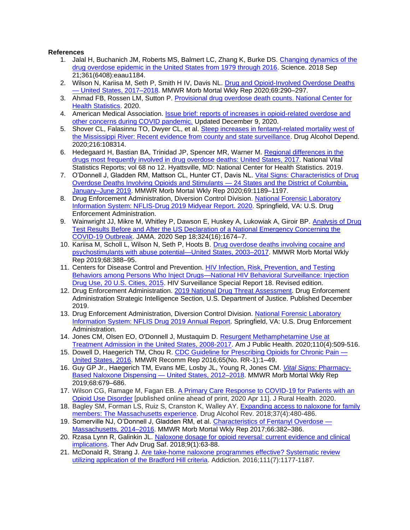#### **References**

- 1. Jalal H, Buchanich JM, Roberts MS, Balmert LC, Zhang K, Burke DS. Changing dynamics of the drug overdose epidemic in the United States from 1979 through 2016. Science. 2018 Sep 21;361(6408):eaau1184.
- 2. Wilson N, Kariisa M, Seth P, Smith H IV, Davis NL. Drug and Opioid-Involved Overdose Deaths — United States, 2017–2018. MMWR Morb Mortal Wkly Rep 2020;69:290–297.
- 3. Ahmad FB, Rossen LM, Sutton P. Provisional drug overdose death counts. National Center for Health Statistics. 2020.
- 4. American Medical Association. **Issue brief: reports of increases in opioid-related overdose and** other concerns during COVID pandemic. Updated December 9, 2020.
- 5. Shover CL, Falasinnu TO, Dwyer CL, et al. Steep increases in fentanyl-related mortality west of the Mississippi River: Recent evidence from county and state surveillance. Drug Alcohol Depend. 2020;216:108314.
- 6. Hedegaard H, Bastian BA, Trinidad JP, Spencer MR, Warner M. Regional differences in the drugs most frequently involved in drug overdose deaths: United States, 2017. National Vital Statistics Reports; vol 68 no 12. Hyattsville, MD: National Center for Health Statistics. 2019.
- 7. O'Donnell J, Gladden RM, Mattson CL, Hunter CT, Davis NL. Vital Signs: Characteristics of Drug Overdose Deaths Involving Opioids and Stimulants — 24 States and the District of Columbia, January–June 2019. MMWR Morb Mortal Wkly Rep 2020;69:1189–1197.
- 8. Drug Enforcement Administration, Diversion Control Division. National Forensic Laboratory Information System: NFLIS-Drug 2019 Midyear Report. 2020. Springfield, VA: U.S. Drug Enforcement Administration.
- 9. Wainwright JJ, Mikre M, Whitley P, Dawson E, Huskey A, Lukowiak A, Giroir BP. Analysis of Drug Test Results Before and After the US Declaration of a National Emergency Concerning the COVID-19 Outbreak. JAMA. 2020 Sep 18;324(16):1674–7.
- 10. Kariisa M, Scholl L, Wilson N, Seth P, Hoots B. Drug overdose deaths involving cocaine and psychostimulants with abuse potential—United States, 2003–2017. MMWR Morb Mortal Wkly Rep 2019;68:388–95.
- 11. Centers for Disease Control and Prevention. HIV Infection, Risk, Prevention, and Testing Behaviors among Persons Who Inject Drugs—National HIV Behavioral Surveillance: Injection Drug Use, 20 U.S. Cities, 2015. HIV Surveillance Special Report 18. Revised edition.
- 12. Drug Enforcement Administration. 2019 National Drug Threat Assessment. Drug Enforcement Administration Strategic Intelligence Section, U.S. Department of Justice. Published December 2019.
- 13. Drug Enforcement Administration, Diversion Control Division. National Forensic Laboratory Information System: NFLIS Drug 2019 Annual Report. Springfield, VA: U.S. Drug Enforcement Administration.
- 14. Jones CM, Olsen EO, O'Donnell J, Mustaquim D. Resurgent Methamphetamine Use at Treatment Admission in the United States, 2008-2017. Am J Public Health. 2020;110(4):509-516.
- 15. Dowell D, Haegerich TM, Chou R. CDC Guideline for Prescribing Opioids for Chronic Pain United States, 2016. MMWR Recomm Rep 2016;65(No. RR-1):1–49.
- 16. Guy GP Jr., Haegerich TM, Evans ME, Losby JL, Young R, Jones CM. *Vital Signs:* Pharmacy-Based Naloxone Dispensing — United States, 2012–2018. MMWR Morb Mortal Wkly Rep 2019;68:679–686.
- 17. Wilson CG, Ramage M, Fagan EB. A Primary Care Response to COVID-19 for Patients with an Opioid Use Disorder [published online ahead of print, 2020 Apr 11]. J Rural Health. 2020.
- 18. Bagley SM, Forman LS, Ruiz S, Cranston K, Walley AY. Expanding access to naloxone for family members: The Massachusetts experience. Drug Alcohol Rev. 2018;37(4):480-486.
- 19. Somerville NJ, O'Donnell J, Gladden RM, et al. Characteristics of Fentanyl Overdose Massachusetts, 2014–2016. MMWR Morb Mortal Wkly Rep 2017;66:382–386.
- 20. Rzasa Lynn R, Galinkin JL. Naloxone dosage for opioid reversal: current evidence and clinical implications. Ther Adv Drug Saf. 2018;9(1):63-88.
- 21. McDonald R, Strang J. Are take-home naloxone programmes effective? Systematic review utilizing application of the Bradford Hill criteria. Addiction. 2016;111(7):1177-1187.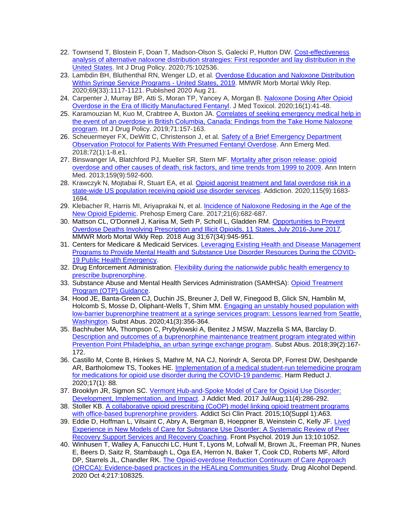- 22. Townsend T, Blostein F, Doan T, Madson-Olson S, Galecki P, Hutton DW. Cost-effectiveness analysis of alternative naloxone distribution strategies: First responder and lay distribution in the United States. Int J Drug Policy. 2020;75:102536.
- 23. Lambdin BH, Bluthenthal RN, Wenger LD, et al. Overdose Education and Naloxone Distribution Within Syringe Service Programs - United States, 2019. MMWR Morb Mortal Wkly Rep. 2020;69(33):1117-1121. Published 2020 Aug 21.
- 24. Carpenter J, Murray BP, Atti S, Moran TP, Yancey A, Morgan B. Naloxone Dosing After Opioid Overdose in the Era of Illicitly Manufactured Fentanyl. J Med Toxicol. 2020;16(1):41-48.
- 25. Karamouzian M, Kuo M, Crabtree A, Buxton JA. Correlates of seeking emergency medical help in the event of an overdose in British Columbia, Canada: Findings from the Take Home Naloxone program. Int J Drug Policy. 2019;71:157-163.
- 26. Scheuermeyer FX, DeWitt C, Christenson J, et al. Safety of a Brief Emergency Department Observation Protocol for Patients With Presumed Fentanyl Overdose. Ann Emerg Med. 2018;72(1):1-8.e1.
- 27. Binswanger IA, Blatchford PJ, Mueller SR, Stern MF. Mortality after prison release: opioid overdose and other causes of death, risk factors, and time trends from 1999 to 2009. Ann Intern Med. 2013;159(9):592-600.
- 28. Krawczyk N, Mojtabai R, Stuart EA, et al. Opioid agonist treatment and fatal overdose risk in a state-wide US population receiving opioid use disorder services. Addiction. 2020;115(9):1683- 1694.
- 29. Klebacher R, Harris MI, Ariyaprakai N, et al. *Incidence of Naloxone Redosing in the Age of the* New Opioid Epidemic. Prehosp Emerg Care. 2017;21(6):682-687.
- 30. Mattson CL, O'Donnell J, Kariisa M, Seth P, Scholl L, Gladden RM. Opportunities to Prevent Overdose Deaths Involving Prescription and Illicit Opioids, 11 States, July 2016-June 2017. MMWR Morb Mortal Wkly Rep. 2018 Aug 31;67(34):945-951.
- 31. Centers for Medicare & Medicaid Services. Leveraging Existing Health and Disease Management Programs to Provide Mental Health and Substance Use Disorder Resources During the COVID-19 Public Health Emergency.
- 32. Drug Enforcement Administration. Flexibility during the nationwide public health emergency to prescribe buprenorphine.
- 33. Substance Abuse and Mental Health Services Administration (SAMHSA): Opioid Treatment Program (OTP) Guidance.
- 34. Hood JE, Banta-Green CJ, Duchin JS, Breuner J, Dell W, Finegood B, Glick SN, Hamblin M, Holcomb S, Mosse D, Oliphant-Wells T, Shim MM. Engaging an unstably housed population with low-barrier buprenorphine treatment at a syringe services program: Lessons learned from Seattle, Washington. Subst Abus. 2020;41(3):356-364.
- 35. Bachhuber MA, Thompson C, Prybylowski A, Benitez J MSW, Mazzella S MA, Barclay D. Description and outcomes of a buprenorphine maintenance treatment program integrated within Prevention Point Philadelphia, an urban syringe exchange program. Subst Abus. 2018;39(2):167- 172.
- 36. Castillo M, Conte B, Hinkes S, Mathre M, NA CJ, Norindr A, Serota DP, Forrest DW, Deshpande AR, Bartholomew TS, Tookes HE. Implementation of a medical student-run telemedicine program for medications for opioid use disorder during the COVID-19 pandemic. Harm Reduct J. 2020;17(1): 88.
- 37. Brooklyn JR, Sigmon SC. Vermont Hub-and-Spoke Model of Care for Opioid Use Disorder: Development, Implementation, and Impact. J Addict Med. 2017 Jul/Aug;11(4):286-292.
- 38. Stoller KB. A collaborative opioid prescribing (CoOP) model linking opioid treatment programs with office-based buprenorphine providers. Addict Sci Clin Pract. 2015;10(Suppl 1):A63.
- 39. Eddie D, Hoffman L, Vilsaint C, Abry A, Bergman B, Hoeppner B, Weinstein C, Kelly JF. Lived Experience in New Models of Care for Substance Use Disorder: A Systematic Review of Peer Recovery Support Services and Recovery Coaching. Front Psychol. 2019 Jun 13;10:1052.
- 40. Winhusen T, Walley A, Fanucchi LC, Hunt T, Lyons M, Lofwall M, Brown JL, Freeman PR, Nunes E, Beers D, Saitz R, Stambaugh L, Oga EA, Herron N, Baker T, Cook CD, Roberts MF, Alford DP, Starrels JL, Chandler RK. The Opioid-overdose Reduction Continuum of Care Approach (ORCCA): Evidence-based practices in the HEALing Communities Study. Drug Alcohol Depend. 2020 Oct 4;217:108325.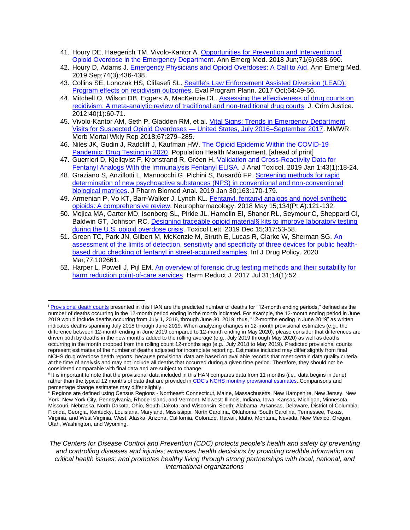- 41. Houry DE, Haegerich TM, Vivolo-Kantor A. Opportunities for Prevention and Intervention of Opioid Overdose in the Emergency Department. Ann Emerg Med. 2018 Jun;71(6):688-690.
- 42. Houry D, Adams J. Emergency Physicians and Opioid Overdoses: A Call to Aid. Ann Emerg Med. 2019 Sep;74(3):436-438.
- 43. Collins SE, Lonczak HS, Clifasefi SL. Seattle's Law Enforcement Assisted Diversion (LEAD): Program effects on recidivism outcomes. Eval Program Plann. 2017 Oct;64:49-56.
- 44. Mitchell O, Wilson DB, Eggers A, MacKenzie DL. Assessing the effectiveness of drug courts on recidivism: A meta-analytic review of traditional and non-traditional drug courts. J. Crim Justice. 2012;40(1):60-71.
- 45. Vivolo-Kantor AM, Seth P, Gladden RM, et al. Vital Signs: Trends in Emergency Department Visits for Suspected Opioid Overdoses — United States, July 2016–September 2017. MMWR Morb Mortal Wkly Rep 2018;67:279–285.
- 46. Niles JK, Gudin J, Radcliff J, Kaufman HW. The Opioid Epidemic Within the COVID-19 Pandemic: Drug Testing in 2020. Population Health Management. [ahead of print]
- 47. Guerrieri D, Kjellqvist F, Kronstrand R, Gréen H. Validation and Cross-Reactivity Data for Fentanyl Analogs With the Immunalysis Fentanyl ELISA. J Anal Toxicol. 2019 Jan 1;43(1):18-24.
- 48. Graziano S, Anzillotti L, Mannocchi G, Pichini S, Busardò FP. Screening methods for rapid determination of new psychoactive substances (NPS) in conventional and non-conventional biological matrices. J Pharm Biomed Anal. 2019 Jan 30;163:170-179.
- 49. Armenian P, Vo KT, Barr-Walker J, Lynch KL. Fentanyl, fentanyl analogs and novel synthetic opioids: A comprehensive review. Neuropharmacology. 2018 May 15;134(Pt A):121-132.
- 50. Mojica MA, Carter MD, Isenberg SL, Pirkle JL, Hamelin EI, Shaner RL, Seymour C, Sheppard CI, Baldwin GT, Johnson RC. Designing traceable opioid material§ kits to improve laboratory testing during the U.S. opioid overdose crisis. Toxicol Lett. 2019 Dec 15;317:53-58.
- 51. Green TC, Park JN, Gilbert M, McKenzie M, Struth E, Lucas R, Clarke W, Sherman SG. An assessment of the limits of detection, sensitivity and specificity of three devices for public healthbased drug checking of fentanyl in street-acquired samples. Int J Drug Policy. 2020 Mar;77:102661.
- 52. Harper L, Powell J, Pijl EM. An overview of forensic drug testing methods and their suitability for harm reduction point-of-care services. Harm Reduct J. 2017 Jul 31;14(1):52.

*The Centers for Disease Control and Prevention (CDC) protects people's health and safety by preventing and controlling diseases and injuries; enhances health decisions by providing credible information on critical health issues; and promotes healthy living through strong partnerships with local, national, and international organizations*

<sup>&</sup>lt;sup>i</sup> Provisional death counts presented in this HAN are the predicted number of deaths for "12-month ending periods," defined as the number of deaths occurring in the 12-month period ending in the month indicated. For example, the 12-month ending period in June 2019 would include deaths occurring from July 1, 2018, through June 30, 2019; thus, "12-months ending in June 2019" as written indicates deaths spanning July 2018 through June 2019. When analyzing changes in 12-month provisional estimates (e.g., the difference between 12-month ending in June 2019 compared to 12-month ending in May 2020), please consider that differences are driven both by deaths in the new months added to the rolling average (e.g., July 2019 through May 2020) as well as deaths occurring in the month dropped from the rolling count 12-months ago (e.g., July 2018 to May 2019). Predicted provisional counts represent estimates of the number of deaths adjusted for incomplete reporting. Estimates included may differ slightly from final NCHS drug overdose death reports, because provisional data are based on available records that meet certain data quality criteria at the time of analysis and may not include all deaths that occurred during a given time period. Therefore, they should not be considered comparable with final data and are subject to change.

If it is important to note that the provisional data included in this HAN compares data from 11 months (i.e., data begins in June) rather than the typical 12 months of data that are provided in CDC's NCHS monthly provisional estimates. Comparisons and percentage change estimates may differ slightly.

iii Regions are defined using Census Regions - Northeast: Connecticut, Maine, Massachusetts, New Hampshire, New Jersey, New York, New York City, Pennsylvania, Rhode Island, and Vermont. Midwest: Illinois, Indiana, Iowa, Kansas, Michigan, Minnesota, Missouri, Nebraska, North Dakota, Ohio, South Dakota, and Wisconsin. South: Alabama, Arkansas, Delaware, District of Columbia, Florida, Georgia, Kentucky, Louisiana, Maryland, Mississippi, North Carolina, Oklahoma, South Carolina, Tennessee, Texas, Virginia, and West Virginia. West: Alaska, Arizona, California, Colorado, Hawaii, Idaho, Montana, Nevada, New Mexico, Oregon, Utah, Washington, and Wyoming.